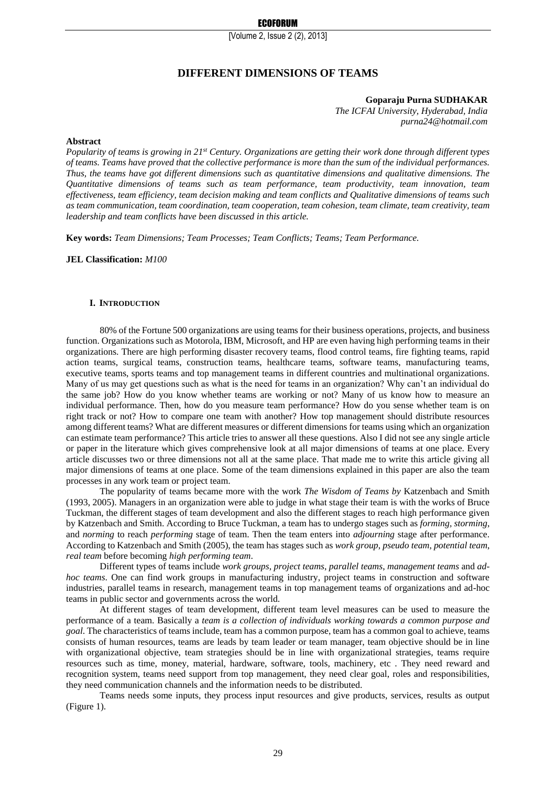[Volume 2, Issue 2 (2), 2013]

# **DIFFERENT DIMENSIONS OF TEAMS**

## **Goparaju Purna SUDHAKAR**

*The ICFAI University, Hyderabad, India purna24@hotmail.com*

#### **Abstract**

*Popularity of teams is growing in 21st Century. Organizations are getting their work done through different types of teams. Teams have proved that the collective performance is more than the sum of the individual performances. Thus, the teams have got different dimensions such as quantitative dimensions and qualitative dimensions. The Quantitative dimensions of teams such as team performance, team productivity, team innovation, team effectiveness, team efficiency, team decision making and team conflicts and Qualitative dimensions of teams such as team communication, team coordination, team cooperation, team cohesion, team climate, team creativity, team leadership and team conflicts have been discussed in this article.*

**Key words:** *Team Dimensions; Team Processes; Team Conflicts; Teams; Team Performance.*

**JEL Classification:** *M100*

#### **I. INTRODUCTION**

80% of the Fortune 500 organizations are using teams for their business operations, projects, and business function. Organizations such as Motorola, IBM, Microsoft, and HP are even having high performing teams in their organizations. There are high performing disaster recovery teams, flood control teams, fire fighting teams, rapid action teams, surgical teams, construction teams, healthcare teams, software teams, manufacturing teams, executive teams, sports teams and top management teams in different countries and multinational organizations. Many of us may get questions such as what is the need for teams in an organization? Why can't an individual do the same job? How do you know whether teams are working or not? Many of us know how to measure an individual performance. Then, how do you measure team performance? How do you sense whether team is on right track or not? How to compare one team with another? How top management should distribute resources among different teams? What are different measures or different dimensions for teams using which an organization can estimate team performance? This article tries to answer all these questions. Also I did not see any single article or paper in the literature which gives comprehensive look at all major dimensions of teams at one place. Every article discusses two or three dimensions not all at the same place. That made me to write this article giving all major dimensions of teams at one place. Some of the team dimensions explained in this paper are also the team processes in any work team or project team.

The popularity of teams became more with the work *The Wisdom of Teams by* Katzenbach and Smith (1993, 2005). Managers in an organization were able to judge in what stage their team is with the works of Bruce Tuckman, the different stages of team development and also the different stages to reach high performance given by Katzenbach and Smith. According to Bruce Tuckman, a team has to undergo stages such as *forming, storming*, and *norming* to reach *performing* stage of team. Then the team enters into *adjourning* stage after performance. According to Katzenbach and Smith (2005), the team has stages such as *work group*, *pseudo team*, *potential team*, *real team* before becoming *high performing team*.

Different types of teams include *work groups*, *project teams*, *parallel teams*, *management teams* and *adhoc teams*. One can find work groups in manufacturing industry, project teams in construction and software industries, parallel teams in research, management teams in top management teams of organizations and ad-hoc teams in public sector and governments across the world.

At different stages of team development, different team level measures can be used to measure the performance of a team. Basically a *team is a collection of individuals working towards a common purpose and goal*. The characteristics of teams include, team has a common purpose, team has a common goal to achieve, teams consists of human resources, teams are leads by team leader or team manager, team objective should be in line with organizational objective, team strategies should be in line with organizational strategies, teams require resources such as time, money, material, hardware, software, tools, machinery, etc . They need reward and recognition system, teams need support from top management, they need clear goal, roles and responsibilities, they need communication channels and the information needs to be distributed.

Teams needs some inputs, they process input resources and give products, services, results as output (Figure 1).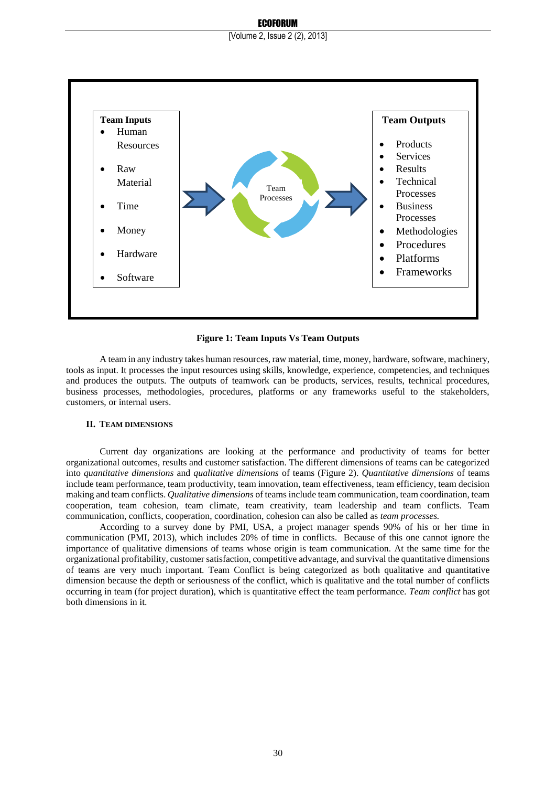#### ECOFORUM



#### **Figure 1: Team Inputs Vs Team Outputs**

A team in any industry takes human resources, raw material, time, money, hardware, software, machinery, tools as input. It processes the input resources using skills, knowledge, experience, competencies, and techniques and produces the outputs. The outputs of teamwork can be products, services, results, technical procedures, business processes, methodologies, procedures, platforms or any frameworks useful to the stakeholders, customers, or internal users.

### **II. TEAM DIMENSIONS**

Current day organizations are looking at the performance and productivity of teams for better organizational outcomes, results and customer satisfaction. The different dimensions of teams can be categorized into *quantitative dimensions* and *qualitative dimensions* of teams (Figure 2). *Quantitative dimensions* of teams include team performance, team productivity, team innovation, team effectiveness, team efficiency, team decision making and team conflicts. *Qualitative dimensions* of teams include team communication, team coordination, team cooperation, team cohesion, team climate, team creativity, team leadership and team conflicts. Team communication, conflicts, cooperation, coordination, cohesion can also be called as *team processes.* 

According to a survey done by PMI, USA, a project manager spends 90% of his or her time in communication (PMI, 2013), which includes 20% of time in conflicts. Because of this one cannot ignore the importance of qualitative dimensions of teams whose origin is team communication. At the same time for the organizational profitability, customer satisfaction, competitive advantage, and survival the quantitative dimensions of teams are very much important. Team Conflict is being categorized as both qualitative and quantitative dimension because the depth or seriousness of the conflict, which is qualitative and the total number of conflicts occurring in team (for project duration), which is quantitative effect the team performance. *Team conflict* has got both dimensions in it.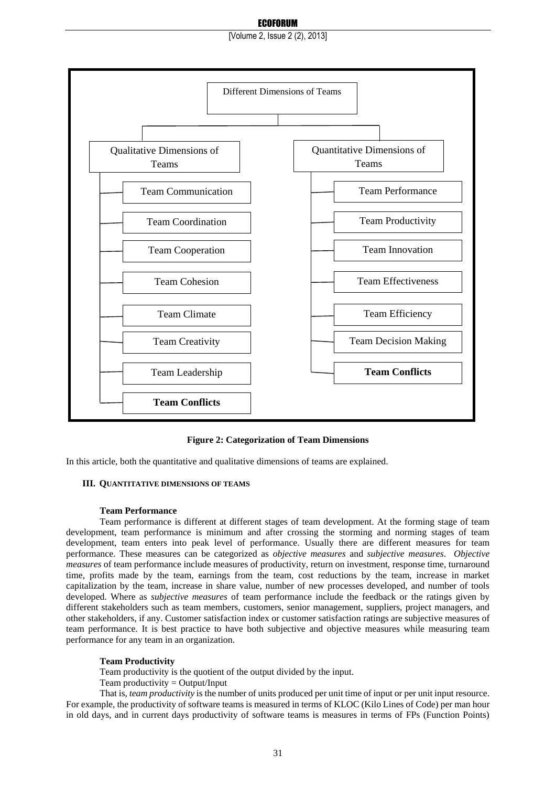## ECOFORUM

[Volume 2, Issue 2 (2), 2013]



**Figure 2: Categorization of Team Dimensions**

In this article, both the quantitative and qualitative dimensions of teams are explained.

## **III. QUANTITATIVE DIMENSIONS OF TEAMS**

#### **Team Performance**

Team performance is different at different stages of team development. At the forming stage of team development, team performance is minimum and after crossing the storming and norming stages of team development, team enters into peak level of performance. Usually there are different measures for team performance. These measures can be categorized as *objective measures* and *subjective measures*. *Objective measures* of team performance include measures of productivity, return on investment, response time, turnaround time, profits made by the team, earnings from the team, cost reductions by the team, increase in market capitalization by the team, increase in share value, number of new processes developed, and number of tools developed. Where as *subjective measures* of team performance include the feedback or the ratings given by different stakeholders such as team members, customers, senior management, suppliers, project managers, and other stakeholders, if any. Customer satisfaction index or customer satisfaction ratings are subjective measures of team performance. It is best practice to have both subjective and objective measures while measuring team performance for any team in an organization.

## **Team Productivity**

Team productivity is the quotient of the output divided by the input.

Team productivity  $=$  Output/Input

That is, *team productivity* is the number of units produced per unit time of input or per unit input resource. For example, the productivity of software teams is measured in terms of KLOC (Kilo Lines of Code) per man hour in old days, and in current days productivity of software teams is measures in terms of FPs (Function Points)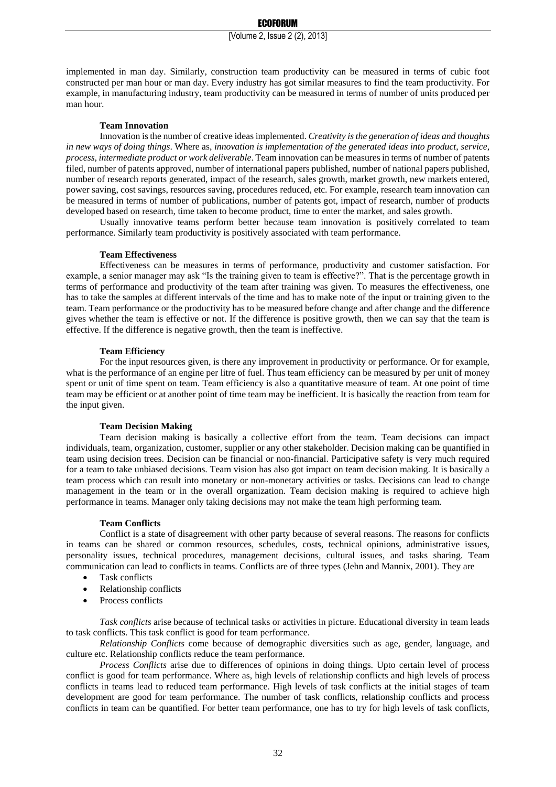implemented in man day. Similarly, construction team productivity can be measured in terms of cubic foot constructed per man hour or man day. Every industry has got similar measures to find the team productivity. For example, in manufacturing industry, team productivity can be measured in terms of number of units produced per man hour.

#### **Team Innovation**

Innovation is the number of creative ideas implemented. *Creativity is the generation of ideas and thoughts in new ways of doing things*. Where as, *innovation is implementation of the generated ideas into product, service, process, intermediate product or work deliverable*. Team innovation can be measures in terms of number of patents filed, number of patents approved, number of international papers published, number of national papers published, number of research reports generated, impact of the research, sales growth, market growth, new markets entered, power saving, cost savings, resources saving, procedures reduced, etc. For example, research team innovation can be measured in terms of number of publications, number of patents got, impact of research, number of products developed based on research, time taken to become product, time to enter the market, and sales growth.

Usually innovative teams perform better because team innovation is positively correlated to team performance. Similarly team productivity is positively associated with team performance.

#### **Team Effectiveness**

Effectiveness can be measures in terms of performance, productivity and customer satisfaction. For example, a senior manager may ask "Is the training given to team is effective?". That is the percentage growth in terms of performance and productivity of the team after training was given. To measures the effectiveness, one has to take the samples at different intervals of the time and has to make note of the input or training given to the team. Team performance or the productivity has to be measured before change and after change and the difference gives whether the team is effective or not. If the difference is positive growth, then we can say that the team is effective. If the difference is negative growth, then the team is ineffective.

## **Team Efficiency**

For the input resources given, is there any improvement in productivity or performance. Or for example, what is the performance of an engine per litre of fuel. Thus team efficiency can be measured by per unit of money spent or unit of time spent on team. Team efficiency is also a quantitative measure of team. At one point of time team may be efficient or at another point of time team may be inefficient. It is basically the reaction from team for the input given.

#### **Team Decision Making**

Team decision making is basically a collective effort from the team. Team decisions can impact individuals, team, organization, customer, supplier or any other stakeholder. Decision making can be quantified in team using decision trees. Decision can be financial or non-financial. Participative safety is very much required for a team to take unbiased decisions. Team vision has also got impact on team decision making. It is basically a team process which can result into monetary or non-monetary activities or tasks. Decisions can lead to change management in the team or in the overall organization. Team decision making is required to achieve high performance in teams. Manager only taking decisions may not make the team high performing team.

#### **Team Conflicts**

Conflict is a state of disagreement with other party because of several reasons. The reasons for conflicts in teams can be shared or common resources, schedules, costs, technical opinions, administrative issues, personality issues, technical procedures, management decisions, cultural issues, and tasks sharing. Team communication can lead to conflicts in teams. Conflicts are of three types (Jehn and Mannix, 2001). They are

- Task conflicts
- Relationship conflicts
- Process conflicts

*Task conflicts* arise because of technical tasks or activities in picture. Educational diversity in team leads to task conflicts. This task conflict is good for team performance.

*Relationship Conflicts* come because of demographic diversities such as age, gender, language, and culture etc. Relationship conflicts reduce the team performance.

*Process Conflicts* arise due to differences of opinions in doing things. Upto certain level of process conflict is good for team performance. Where as, high levels of relationship conflicts and high levels of process conflicts in teams lead to reduced team performance. High levels of task conflicts at the initial stages of team development are good for team performance. The number of task conflicts, relationship conflicts and process conflicts in team can be quantified. For better team performance, one has to try for high levels of task conflicts,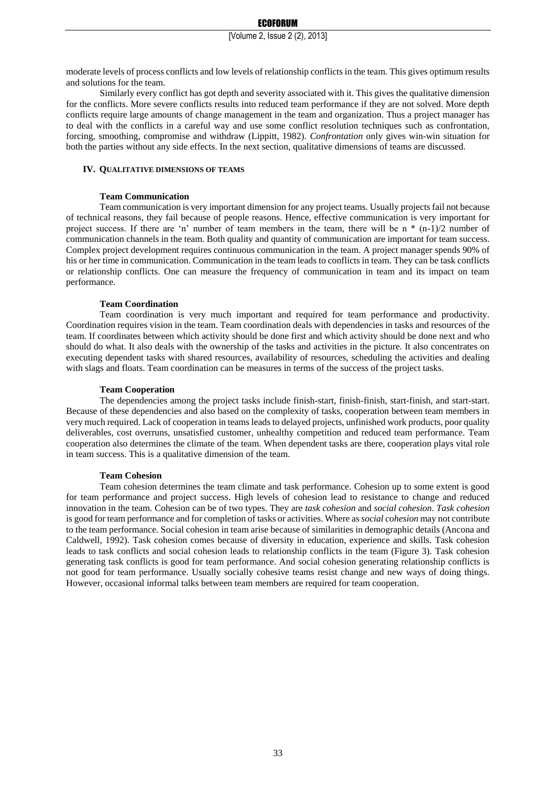moderate levels of process conflicts and low levels of relationship conflicts in the team. This gives optimum results and solutions for the team.

Similarly every conflict has got depth and severity associated with it. This gives the qualitative dimension for the conflicts. More severe conflicts results into reduced team performance if they are not solved. More depth conflicts require large amounts of change management in the team and organization. Thus a project manager has to deal with the conflicts in a careful way and use some conflict resolution techniques such as confrontation, forcing, smoothing, compromise and withdraw (Lippitt, 1982). *Confrontation* only gives win-win situation for both the parties without any side effects. In the next section, qualitative dimensions of teams are discussed.

#### **IV. QUALITATIVE DIMENSIONS OF TEAMS**

## **Team Communication**

Team communication is very important dimension for any project teams. Usually projects fail not because of technical reasons, they fail because of people reasons. Hence, effective communication is very important for project success. If there are 'n' number of team members in the team, there will be  $n * (n-1)/2$  number of communication channels in the team. Both quality and quantity of communication are important for team success. Complex project development requires continuous communication in the team. A project manager spends 90% of his or her time in communication. Communication in the team leads to conflicts in team. They can be task conflicts or relationship conflicts. One can measure the frequency of communication in team and its impact on team performance.

## **Team Coordination**

Team coordination is very much important and required for team performance and productivity. Coordination requires vision in the team. Team coordination deals with dependencies in tasks and resources of the team. If coordinates between which activity should be done first and which activity should be done next and who should do what. It also deals with the ownership of the tasks and activities in the picture. It also concentrates on executing dependent tasks with shared resources, availability of resources, scheduling the activities and dealing with slags and floats. Team coordination can be measures in terms of the success of the project tasks.

## **Team Cooperation**

The dependencies among the project tasks include finish-start, finish-finish, start-finish, and start-start. Because of these dependencies and also based on the complexity of tasks, cooperation between team members in very much required. Lack of cooperation in teams leads to delayed projects, unfinished work products, poor quality deliverables, cost overruns, unsatisfied customer, unhealthy competition and reduced team performance. Team cooperation also determines the climate of the team. When dependent tasks are there, cooperation plays vital role in team success. This is a qualitative dimension of the team.

## **Team Cohesion**

Team cohesion determines the team climate and task performance. Cohesion up to some extent is good for team performance and project success. High levels of cohesion lead to resistance to change and reduced innovation in the team. Cohesion can be of two types. They are *task cohesion* and *social cohesion*. *Task cohesion* is good for team performance and for completion of tasks or activities. Where as *social cohesion* may not contribute to the team performance. Social cohesion in team arise because of similarities in demographic details (Ancona and Caldwell, 1992). Task cohesion comes because of diversity in education, experience and skills. Task cohesion leads to task conflicts and social cohesion leads to relationship conflicts in the team (Figure 3). Task cohesion generating task conflicts is good for team performance. And social cohesion generating relationship conflicts is not good for team performance. Usually socially cohesive teams resist change and new ways of doing things. However, occasional informal talks between team members are required for team cooperation.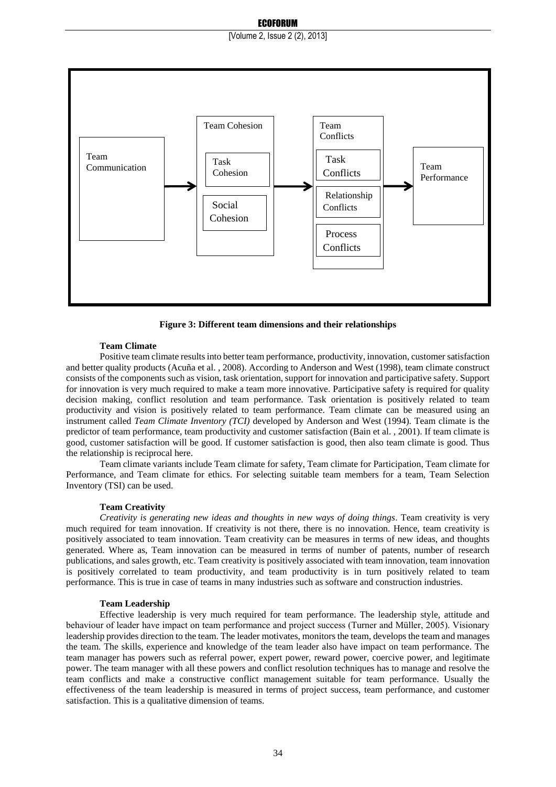## ECOFORUM

[Volume 2, Issue 2 (2), 2013]



**Figure 3: Different team dimensions and their relationships**

## **Team Climate**

Positive team climate results into better team performance, productivity, innovation, customer satisfaction and better quality products (Acuña et al. , 2008). According to Anderson and West (1998), team climate construct consists of the components such as vision, task orientation, support for innovation and participative safety. Support for innovation is very much required to make a team more innovative. Participative safety is required for quality decision making, conflict resolution and team performance. Task orientation is positively related to team productivity and vision is positively related to team performance. Team climate can be measured using an instrument called *Team Climate Inventory (TCI)* developed by Anderson and West (1994). Team climate is the predictor of team performance, team productivity and customer satisfaction (Bain et al. , 2001). If team climate is good, customer satisfaction will be good. If customer satisfaction is good, then also team climate is good. Thus the relationship is reciprocal here.

Team climate variants include Team climate for safety, Team climate for Participation, Team climate for Performance, and Team climate for ethics. For selecting suitable team members for a team, Team Selection Inventory (TSI) can be used.

## **Team Creativity**

*Creativity is generating new ideas and thoughts in new ways of doing things*. Team creativity is very much required for team innovation. If creativity is not there, there is no innovation. Hence, team creativity is positively associated to team innovation. Team creativity can be measures in terms of new ideas, and thoughts generated. Where as, Team innovation can be measured in terms of number of patents, number of research publications, and sales growth, etc. Team creativity is positively associated with team innovation, team innovation is positively correlated to team productivity, and team productivity is in turn positively related to team performance. This is true in case of teams in many industries such as software and construction industries.

#### **Team Leadership**

Effective leadership is very much required for team performance. The leadership style, attitude and behaviour of leader have impact on team performance and project success (Turner and Müller, 2005). Visionary leadership provides direction to the team. The leader motivates, monitors the team, develops the team and manages the team. The skills, experience and knowledge of the team leader also have impact on team performance. The team manager has powers such as referral power, expert power, reward power, coercive power, and legitimate power. The team manager with all these powers and conflict resolution techniques has to manage and resolve the team conflicts and make a constructive conflict management suitable for team performance. Usually the effectiveness of the team leadership is measured in terms of project success, team performance, and customer satisfaction. This is a qualitative dimension of teams.